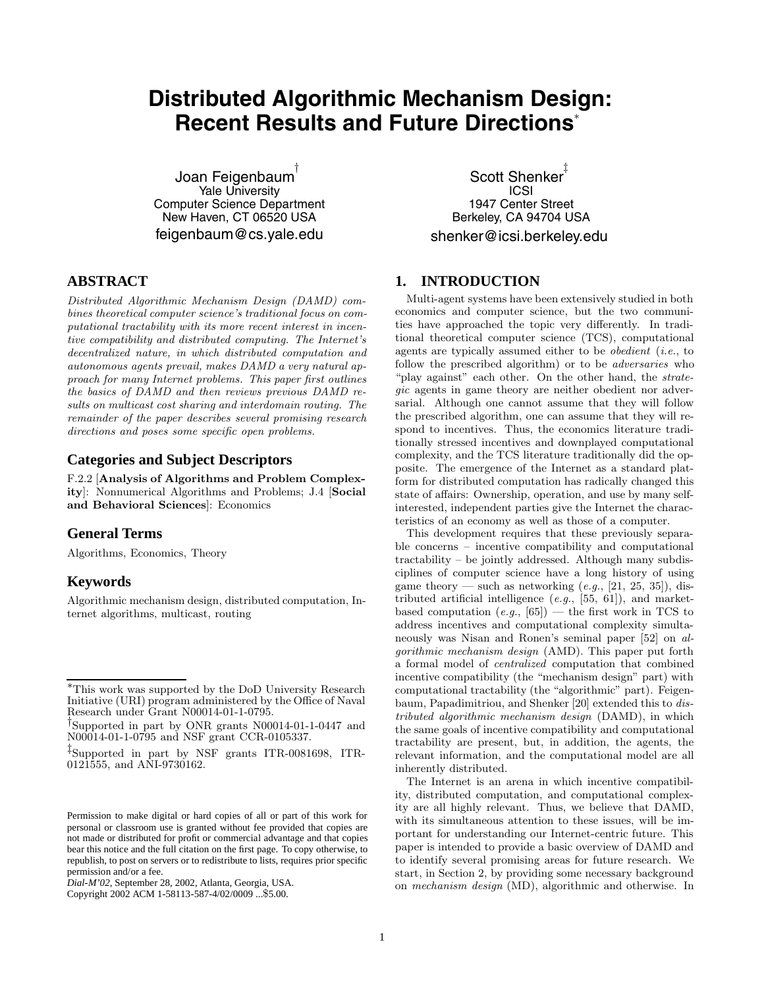# **Distributed Algorithmic Mechanism Design: Recent Results and Future Directions**<sup>∗</sup>

Joan Feigenbaum<sup>™</sup> Yale University Computer Science Department New Haven, CT 06520 USA feigenbaum@cs.yale.edu

# **ABSTRACT**

Distributed Algorithmic Mechanism Design (DAMD) combines theoretical computer science's traditional focus on computational tractability with its more recent interest in incentive compatibility and distributed computing. The Internet's decentralized nature, in which distributed computation and autonomous agents prevail, makes DAMD a very natural approach for many Internet problems. This paper first outlines the basics of DAMD and then reviews previous DAMD results on multicast cost sharing and interdomain routing. The remainder of the paper describes several promising research directions and poses some specific open problems.

# **Categories and Subject Descriptors**

F.2.2 [**Analysis of Algorithms and Problem Complexity**]: Nonnumerical Algorithms and Problems; J.4 [**Social and Behavioral Sciences**]: Economics

# **General Terms**

Algorithms, Economics, Theory

# **Keywords**

Algorithmic mechanism design, distributed computation, Internet algorithms, multicast, routing

Scott Shenker<sup>‡</sup> ICSI 1947 Center Street Berkeley, CA 94704 USA shenker@icsi.berkeley.edu

# **1. INTRODUCTION**

Multi-agent systems have been extensively studied in both economics and computer science, but the two communities have approached the topic verydifferently. In traditional theoretical computer science (TCS), computational agents are typically assumed either to be obedient (i.e., to follow the prescribed algorithm) or to be adversaries who "play against" each other. On the other hand, the strategic agents in game theory are neither obedient nor adversarial. Although one cannot assume that theywill follow the prescribed algorithm, one can assume that theywill respond to incentives. Thus, the economics literature traditionally stressed incentives and downplayed computational complexity, and the TCS literature traditionally did the opposite. The emergence of the Internet as a standard platform for distributed computation has radically changed this state of affairs: Ownership, operation, and use bymanyselfinterested, independent parties give the Internet the characteristics of an economyas well as those of a computer.

This development requires that these previously separable concerns – incentive compatibility and computational  $tractability – be jointly addressed. Although many subdis$ ciplines of computer science have a long historyof using game theory — such as networking  $(e.g., [21, 25, 35])$ , distributed artificial intelligence  $(e.g., [55, 61])$ , and marketbased computation  $(e.g., [65])$  — the first work in TCS to address incentives and computational complexity simultaneouslywas Nisan and Ronen's seminal paper [52] on algorithmic mechanism design (AMD). This paper put forth a formal model of centralized computation that combined incentive compatibility (the "mechanism design" part) with computational tractability(the "algorithmic" part). Feigenbaum, Papadimitriou, and Shenker [20] extended this to distributed algorithmic mechanism design (DAMD), in which the same goals of incentive compatibilityand computational tractabilityare present, but, in addition, the agents, the relevant information, and the computational model are all inherently distributed.

The Internet is an arena in which incentive compatibility, distributed computation, and computational complexity are all highly relevant. Thus, we believe that DAMD, with its simultaneous attention to these issues, will be important for understanding our Internet-centric future. This paper is intended to provide a basic overview of DAMD and to identify several promising areas for future research. We start, in Section 2, by providing some necessary background on mechanism design (MD), algorithmic and otherwise. In

<sup>∗</sup>This work was supported bythe DoD UniversityResearch Initiative (URI) program administered bythe Office of Naval Research under Grant N00014-01-1-0795.

<sup>&</sup>lt;sup>T</sup>Supported in part by ONR grants N00014-01-1-0447 and N00014-01-1-0795 and NSF grant CCR-0105337.

<sup>‡</sup>Supported in part byNSF grants ITR-0081698, ITR-0121555, and ANI-9730162.

Permission to make digital or hard copies of all or part of this work for personal or classroom use is granted without fee provided that copies are not made or distributed for profit or commercial advantage and that copies bear this notice and the full citation on the first page. To copy otherwise, to republish, to post on servers or to redistribute to lists, requires prior specific permission and/or a fee.

*Dial-M'02,* September 28, 2002, Atlanta, Georgia, USA.

Copyright 2002 ACM 1-58113-587-4/02/0009 ...\$5.00.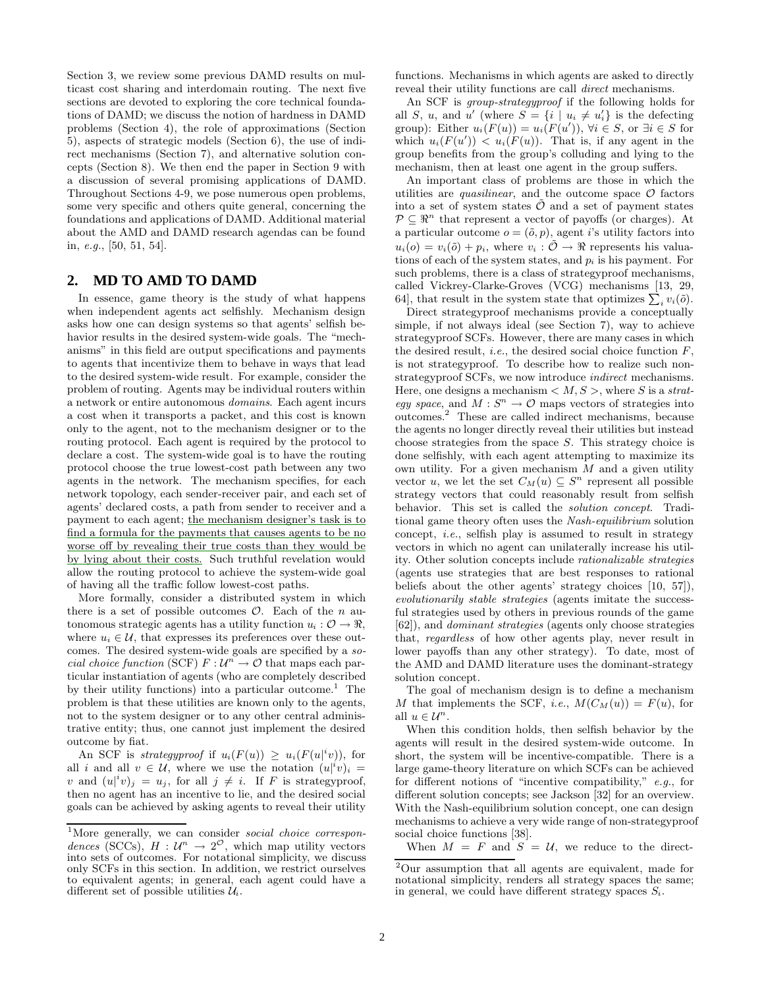Section 3, we review some previous DAMD results on multicast cost sharing and interdomain routing. The next five sections are devoted to exploring the core technical foundations of DAMD; we discuss the notion of hardness in DAMD problems (Section 4), the role of approximations (Section 5), aspects of strategic models (Section 6), the use of indirect mechanisms (Section 7), and alternative solution concepts (Section 8). We then end the paper in Section 9 with a discussion of several promising applications of DAMD. Throughout Sections 4-9, we pose numerous open problems, some very specific and others quite general, concerning the foundations and applications of DAMD. Additional material about the AMD and DAMD research agendas can be found in, e.g., [50, 51, 54].

# **2. MD TO AMD TO DAMD**

In essence, game theory is the study of what happens when independent agents act selfishly. Mechanism design asks how one can design systems so that agents' selfish behavior results in the desired system-wide goals. The "mechanisms" in this field are output specifications and payments to agents that incentivize them to behave in ways that lead to the desired system-wide result. For example, consider the problem of routing. Agents maybe individual routers within a network or entire autonomous domains. Each agent incurs a cost when it transports a packet, and this cost is known onlyto the agent, not to the mechanism designer or to the routing protocol. Each agent is required by the protocol to declare a cost. The system-wide goal is to have the routing protocol choose the true lowest-cost path between anytwo agents in the network. The mechanism specifies, for each network topology, each sender-receiver pair, and each set of agents' declared costs, a path from sender to receiver and a payment to each agent; the mechanism designer's task is to find a formula for the payments that causes agents to be no worse off by revealing their true costs than they would be bylying about their costs. Such truthful revelation would allow the routing protocol to achieve the system-wide goal of having all the traffic follow lowest-cost paths.

More formally, consider a distributed system in which there is a set of possible outcomes  $\mathcal{O}$ . Each of the *n* autonomous strategic agents has a utility function  $u_i : \mathcal{O} \to \mathbb{R}$ , where  $u_i \in \mathcal{U}$ , that expresses its preferences over these outcomes. The desired system-wide goals are specified by a social choice function (SCF)  $F: U^n \to \mathcal{O}$  that maps each particular instantiation of agents (who are completely described by their utility functions) into a particular outcome.<sup>1</sup> The problem is that these utilities are known onlyto the agents, not to the system designer or to any other central administrative entity; thus, one cannot just implement the desired outcome by fiat.

An SCF is *strategyproof* if  $u_i(F(u)) \geq u_i(F(u|^{i}v))$ , for all i and all  $v \in \mathcal{U}$ , where we use the notation  $(u|^{i}v)_{i} =$ v and  $(u|^i v)_j = u_j$ , for all  $j \neq i$ . If F is strategyproof, then no agent has an incentive to lie, and the desired social goals can be achieved by asking agents to reveal their utility functions. Mechanisms in which agents are asked to directly reveal their utility functions are call *direct* mechanisms.

An SCF is group-strategyproof if the following holds for all S, u, and u' (where  $S = \{i \mid u_i \neq u'_i\}$  is the defecting group): Either  $u_i(F(u)) = u_i(F(u'))$ ,  $\forall i \in S$ , or  $\exists i \in S$  for which  $u_i(F(u')) < u_i(F(u))$ . That is, if any agent in the group benefits from the group's colluding and lying to the mechanism, then at least one agent in the group suffers.

An important class of problems are those in which the utilities are *quasilinear*, and the outcome space  $\mathcal{O}$  factors into a set of system states  $\tilde{\mathcal{O}}$  and a set of payment states  $P \subseteq \mathbb{R}^n$  that represent a vector of payoffs (or charges). At a particular outcome  $o = (\tilde{o}, p)$ , agent *i*'s utility factors into  $u_i(o) = v_i(\tilde{o}) + p_i$ , where  $v_i : \tilde{\mathcal{O}} \to \Re$  represents his valuations of each of the system states, and p*<sup>i</sup>* is his payment. For such problems, there is a class of strategyproof mechanisms, called Vickrey-Clarke-Groves (VCG) mechanisms [13, 29, 64], that result in the system state that optimizes  $\sum_i v_i(\tilde{o})$ .

Direct strategyproof mechanisms provide a conceptually simple, if not always ideal (see Section 7), way to achieve strategyproof SCFs. However, there are many cases in which the desired result, *i.e.*, the desired social choice function  $F$ , is not strategyproof. To describe how to realize such nonstrategyproof SCFs, we now introduce indirect mechanisms. Here, one designs a mechanism  $\langle M, S \rangle$ , where S is a strategy space, and  $M: S^n \to \mathcal{O}$  maps vectors of strategies into outcomes.<sup>2</sup> These are called indirect mechanisms, because the agents no longer directly reveal their utilities but instead choose strategies from the space  $S$ . This strategy choice is done selfishly, with each agent attempting to maximize its own utility. For a given mechanism  $M$  and a given utility vector u, we let the set  $C_M(u) \subseteq S^n$  represent all possible strategy vectors that could reasonably result from selfish behavior. This set is called the solution concept. Traditional game theory often uses the Nash-equilibrium solution concept, *i.e.*, selfish play is assumed to result in strategy vectors in which no agent can unilaterally increase his utility. Other solution concepts include rationalizable strategies (agents use strategies that are best responses to rational beliefs about the other agents' strategy choices [10, 57]), evolutionarily stable strategies (agents imitate the successful strategies used by others in previous rounds of the game [62]), and dominant strategies (agents onlychoose strategies that, regardless of how other agents play, never result in lower payoffs than any other strategy). To date, most of the AMD and DAMD literature uses the dominant-strategy solution concept.

The goal of mechanism design is to define a mechanism M that implements the SCF, *i.e.*,  $M(C_M(u)) = F(u)$ , for all  $u \in \mathcal{U}^n$ .

When this condition holds, then selfish behavior by the agents will result in the desired system-wide outcome. In short, the system will be incentive-compatible. There is a large game-theoryliterature on which SCFs can be achieved for different notions of "incentive compatibility," e.g., for different solution concepts; see Jackson [32] for an overview. With the Nash-equilibrium solution concept, one can design mechanisms to achieve a verywide range of non-strategyproof social choice functions [38].

When  $M = F$  and  $S = U$ , we reduce to the direct-

<sup>&</sup>lt;sup>1</sup>More generally, we can consider *social choice correspon*dences (SCCs),  $H : U^n \to 2^{\mathcal{O}}$ , which map utility vectors into sets of outcomes. For notational simplicity, we discuss only SCFs in this section. In addition, we restrict ourselves to equivalent agents; in general, each agent could have a different set of possible utilities  $\mathcal{U}_i$ .

<sup>2</sup>Our assumption that all agents are equivalent, made for notational simplicity, renders all strategy spaces the same; in general, we could have different strategy spaces  $S_i$ .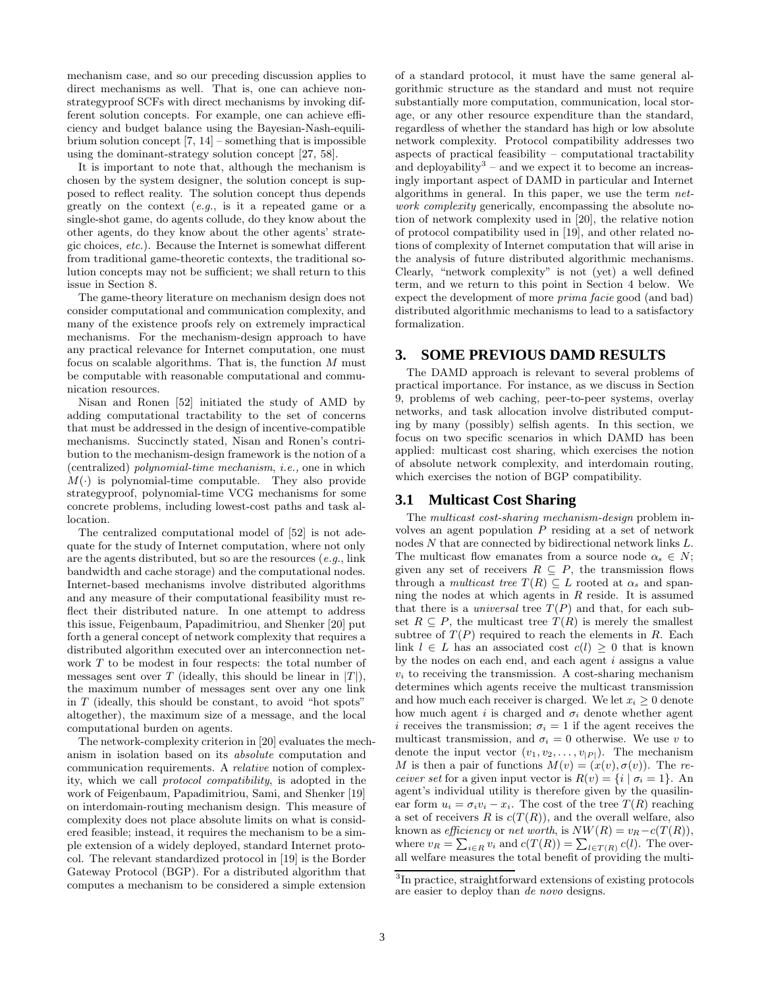mechanism case, and so our preceding discussion applies to direct mechanisms as well. That is, one can achieve nonstrategyproof SCFs with direct mechanisms by invoking different solution concepts. For example, one can achieve efficiencyand budget balance using the Bayesian-Nash-equilibrium solution concept  $[7, 14]$  – something that is impossible using the dominant-strategysolution concept [27, 58].

It is important to note that, although the mechanism is chosen by the system designer, the solution concept is supposed to reflect reality. The solution concept thus depends greatly on the context  $(e.g.,$  is it a repeated game or a single-shot game, do agents collude, do they know about the other agents, do they know about the other agents' strategic choices, etc.). Because the Internet is somewhat different from traditional game-theoretic contexts, the traditional solution concepts maynot be sufficient; we shall return to this issue in Section 8.

The game-theory literature on mechanism design does not consider computational and communication complexity, and many of the existence proofs rely on extremely impractical mechanisms. For the mechanism-design approach to have any practical relevance for Internet computation, one must focus on scalable algorithms. That is, the function  $M$  must be computable with reasonable computational and communication resources.

Nisan and Ronen [52] initiated the study of AMD by adding computational tractability to the set of concerns that must be addressed in the design of incentive-compatible mechanisms. Succinctly stated, Nisan and Ronen's contribution to the mechanism-design framework is the notion of a (centralized) polynomial-time mechanism, i.e., one in which  $M(\cdot)$  is polynomial-time computable. They also provide strategyproof, polynomial-time VCG mechanisms for some concrete problems, including lowest-cost paths and task allocation.

The centralized computational model of [52] is not adequate for the study of Internet computation, where not only are the agents distributed, but so are the resources  $(e,q)$ , link bandwidth and cache storage) and the computational nodes. Internet-based mechanisms involve distributed algorithms and any measure of their computational feasibility must reflect their distributed nature. In one attempt to address this issue, Feigenbaum, Papadimitriou, and Shenker [20] put forth a general concept of network complexity that requires a distributed algorithm executed over an interconnection network T to be modest in four respects: the total number of messages sent over T (ideally, this should be linear in  $|T|$ ), the maximum number of messages sent over anyone link in T (ideally, this should be constant, to avoid "hot spots" altogether), the maximum size of a message, and the local computational burden on agents.

The network-complexity criterion in [20] evaluates the mechanism in isolation based on its absolute computation and communication requirements. A relative notion of complexity, which we call protocol compatibility, is adopted in the work of Feigenbaum, Papadimitriou, Sami, and Shenker [19] on interdomain-routing mechanism design. This measure of complexitydoes not place absolute limits on what is considered feasible; instead, it requires the mechanism to be a simple extension of a widelydeployed, standard Internet protocol. The relevant standardized protocol in [19] is the Border Gateway Protocol (BGP). For a distributed algorithm that computes a mechanism to be considered a simple extension

of a standard protocol, it must have the same general algorithmic structure as the standard and must not require substantially more computation, communication, local storage, or anyother resource expenditure than the standard, regardless of whether the standard has high or low absolute network complexity. Protocol compatibility addresses two aspects of practical feasibility– computational tractability and deployability<sup>3</sup> – and we expect it to become an increasingly important aspect of DAMD in particular and Internet algorithms in general. In this paper, we use the term network complexity generically, encompassing the absolute notion of network complexity used in [20], the relative notion of protocol compatibilityused in [19], and other related notions of complexityof Internet computation that will arise in the analysis of future distributed algorithmic mechanisms. Clearly, "network complexity" is not (yet) a well defined term, and we return to this point in Section 4 below. We expect the development of more prima facie good (and bad) distributed algorithmic mechanisms to lead to a satisfactory formalization.

#### **3. SOME PREVIOUS DAMD RESULTS**

The DAMD approach is relevant to several problems of practical importance. For instance, as we discuss in Section 9, problems of web caching, peer-to-peer systems, overlay networks, and task allocation involve distributed computing bymany(possibly) selfish agents. In this section, we focus on two specific scenarios in which DAMD has been applied: multicast cost sharing, which exercises the notion of absolute network complexity, and interdomain routing, which exercises the notion of BGP compatibility.

# **3.1 Multicast Cost Sharing**

The *multicast cost-sharing mechanism-design* problem involves an agent population P residing at a set of network nodes  $N$  that are connected by bidirectional network links  $L$ . The multicast flow emanates from a source node  $\alpha_s \in N$ ; given any set of receivers  $R \subseteq P$ , the transmission flows through a *multicast tree*  $T(R) \subseteq L$  rooted at  $\alpha_s$  and spanning the nodes at which agents in  $R$  reside. It is assumed that there is a *universal* tree  $T(P)$  and that, for each subset  $R \subseteq P$ , the multicast tree  $T(R)$  is merely the smallest subtree of  $T(P)$  required to reach the elements in R. Each link  $l \in L$  has an associated cost  $c(l) \geq 0$  that is known by the nodes on each end, and each agent  $i$  assigns a value  $v_i$  to receiving the transmission. A cost-sharing mechanism determines which agents receive the multicast transmission and how much each receiver is charged. We let  $x_i \geq 0$  denote how much agent *i* is charged and  $\sigma_i$  denote whether agent i receives the transmission;  $\sigma_i = 1$  if the agent receives the multicast transmission, and  $\sigma_i = 0$  otherwise. We use v to denote the input vector  $(v_1, v_2, \ldots, v_{|P|})$ . The mechanism M is then a pair of functions  $M(v)=(x(v), \sigma(v))$ . The receiver set for a given input vector is  $R(v) = \{i \mid \sigma_i = 1\}$ . An agent's individual utility is therefore given by the quasilinear form  $u_i = \sigma_i v_i - x_i$ . The cost of the tree  $T(R)$  reaching a set of receivers R is  $c(T(R))$ , and the overall welfare, also known as *efficiency* or *net worth*, is  $NW(R) = v_R - c(T(R)),$ where  $v_R = \sum_{i \in R} v_i$  and  $c(T(R)) = \sum_{l \in T(R)} c(l)$ . The overall welfare measures the total benefit of providing the multi-

<sup>3</sup>In practice, straightforward extensions of existing protocols are easier to deploy than de novo designs.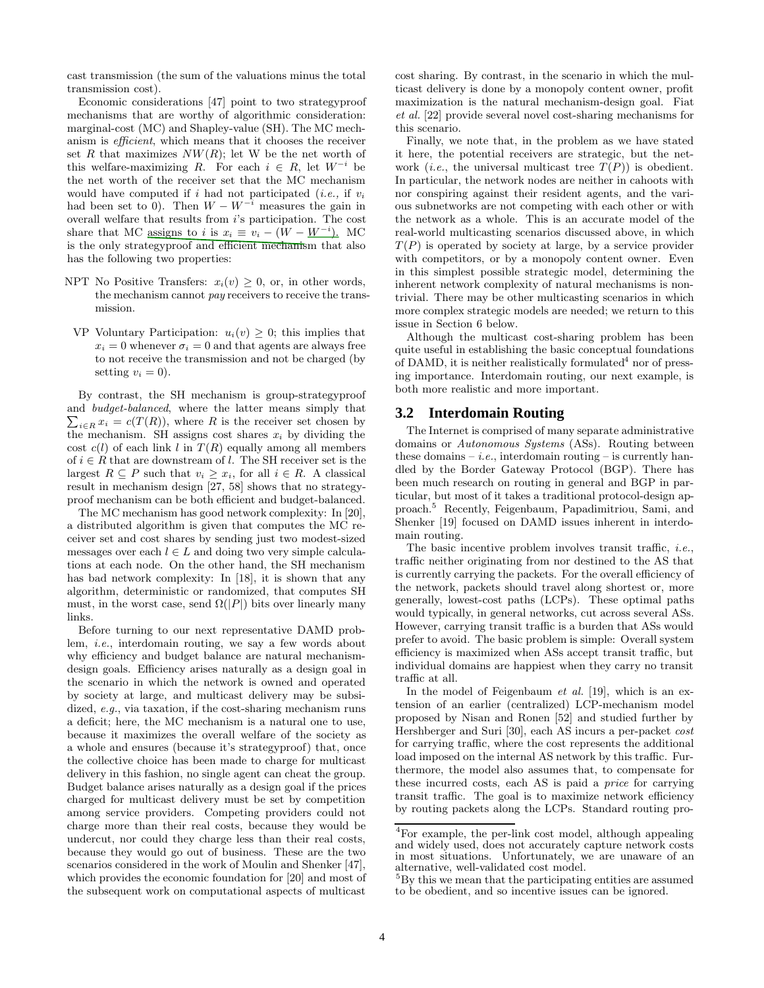cast transmission (the sum of the valuations minus the total transmission cost).

Economic considerations [47] point to two strategyproof mechanisms that are worthy of algorithmic consideration: marginal-cost (MC) and Shapley-value (SH). The MC mechanism is efficient, which means that it chooses the receiver set R that maximizes  $NW(R)$ ; let W be the net worth of this welfare-maximizing R. For each  $i \in R$ , let  $W^{-i}$  be the net worth of the receiver set that the MC mechanism would have computed if i had not participated (i.e., if v*<sup>i</sup>* had been set to 0). Then  $W - W^{-i}$  measures the gain in overall welfare that results from i's participation. The cost share that MC <u>assigns</u> to *i* is  $x_i \equiv v_i - (W - \underline{W}^{-i})$ . MC is the onlystrategyproof and efficient mechanism that also has the following two properties:

- NPT No Positive Transfers:  $x_i(v) \geq 0$ , or, in other words, the mechanism cannot pay receivers to receive the transmission.
	- VP Voluntary Participation:  $u_i(v) \geq 0$ ; this implies that  $x_i = 0$  whenever  $\sigma_i = 0$  and that agents are always free to not receive the transmission and not be charged (by setting  $v_i = 0$ ).

By contrast, the SH mechanism is group-strategyproof  $\sum_{i \in R} x_i = c(T(R))$ , where R is the receiver set chosen by and budget-balanced, where the latter means simply that the mechanism. SH assigns cost shares  $x_i$  by dividing the cost  $c(l)$  of each link l in  $T(R)$  equally among all members of  $i \in R$  that are downstream of l. The SH receiver set is the largest  $R \subseteq P$  such that  $v_i \geq x_i$ , for all  $i \in R$ . A classical result in mechanism design [27, 58] shows that no strategyproof mechanism can be both efficient and budget-balanced.

The MC mechanism has good network complexity: In [20], a distributed algorithm is given that computes the MC receiver set and cost shares bysending just two modest-sized messages over each  $l \in L$  and doing two very simple calculations at each node. On the other hand, the SH mechanism has bad network complexity: In [18], it is shown that any algorithm, deterministic or randomized, that computes SH must, in the worst case, send  $\Omega(|P|)$  bits over linearly many links.

Before turning to our next representative DAMD problem, i.e., interdomain routing, we saya few words about why efficiency and budget balance are natural mechanismdesign goals. Efficiencyarises naturallyas a design goal in the scenario in which the network is owned and operated by society at large, and multicast delivery may be subsidized, e.g., via taxation, if the cost-sharing mechanism runs a deficit; here, the MC mechanism is a natural one to use, because it maximizes the overall welfare of the society as a whole and ensures (because it's strategyproof) that, once the collective choice has been made to charge for multicast delivery in this fashion, no single agent can cheat the group. Budget balance arises naturally as a design goal if the prices charged for multicast delivery must be set by competition among service providers. Competing providers could not charge more than their real costs, because theywould be undercut, nor could they charge less than their real costs, because theywould go out of business. These are the two scenarios considered in the work of Moulin and Shenker [47], which provides the economic foundation for [20] and most of the subsequent work on computational aspects of multicast

cost sharing. Bycontrast, in the scenario in which the multicast delivery is done by a monopoly content owner, profit maximization is the natural mechanism-design goal. Fiat et al. [22] provide several novel cost-sharing mechanisms for this scenario.

Finally, we note that, in the problem as we have stated it here, the potential receivers are strategic, but the network *(i.e.*, the universal multicast tree  $T(P)$ ) is obedient. In particular, the network nodes are neither in cahoots with nor conspiring against their resident agents, and the various subnetworks are not competing with each other or with the network as a whole. This is an accurate model of the real-world multicasting scenarios discussed above, in which  $T(P)$  is operated by society at large, by a service provider with competitors, or by a monopoly content owner. Even in this simplest possible strategic model, determining the inherent network complexity of natural mechanisms is nontrivial. There maybe other multicasting scenarios in which more complex strategic models are needed; we return to this issue in Section 6 below.

Although the multicast cost-sharing problem has been quite useful in establishing the basic conceptual foundations of DAMD, it is neither realistically formulated<sup>4</sup> nor of pressing importance. Interdomain routing, our next example, is both more realistic and more important.

#### **3.2 Interdomain Routing**

The Internet is comprised of manyseparate administrative domains or Autonomous Systems (ASs). Routing between these domains – *i.e.*, interdomain routing – is currently handled by the Border Gateway Protocol (BGP). There has been much research on routing in general and BGP in particular, but most of it takes a traditional protocol-design approach.<sup>5</sup> Recently, Feigenbaum, Papadimitriou, Sami, and Shenker [19] focused on DAMD issues inherent in interdomain routing.

The basic incentive problem involves transit traffic, i.e., traffic neither originating from nor destined to the AS that is currently carrying the packets. For the overall efficiency of the network, packets should travel along shortest or, more generally, lowest-cost paths (LCPs). These optimal paths would typically, in general networks, cut across several ASs. However, carrying transit traffic is a burden that ASs would prefer to avoid. The basic problem is simple: Overall system efficiency is maximized when ASs accept transit traffic, but individual domains are happiest when they carry no transit traffic at all.

In the model of Feigenbaum  $et \ al.$  [19], which is an extension of an earlier (centralized) LCP-mechanism model proposed by Nisan and Ronen [52] and studied further by Hershberger and Suri [30], each AS incurs a per-packet cost for carrying traffic, where the cost represents the additional load imposed on the internal AS network by this traffic. Furthermore, the model also assumes that, to compensate for these incurred costs, each AS is paid a price for carrying transit traffic. The goal is to maximize network efficiency by routing packets along the LCPs. Standard routing pro-

<sup>4</sup>For example, the per-link cost model, although appealing and widely used, does not accurately capture network costs in most situations. Unfortunately, we are unaware of an alternative, well-validated cost model.

<sup>&</sup>lt;sup>5</sup>By this we mean that the participating entities are assumed to be obedient, and so incentive issues can be ignored.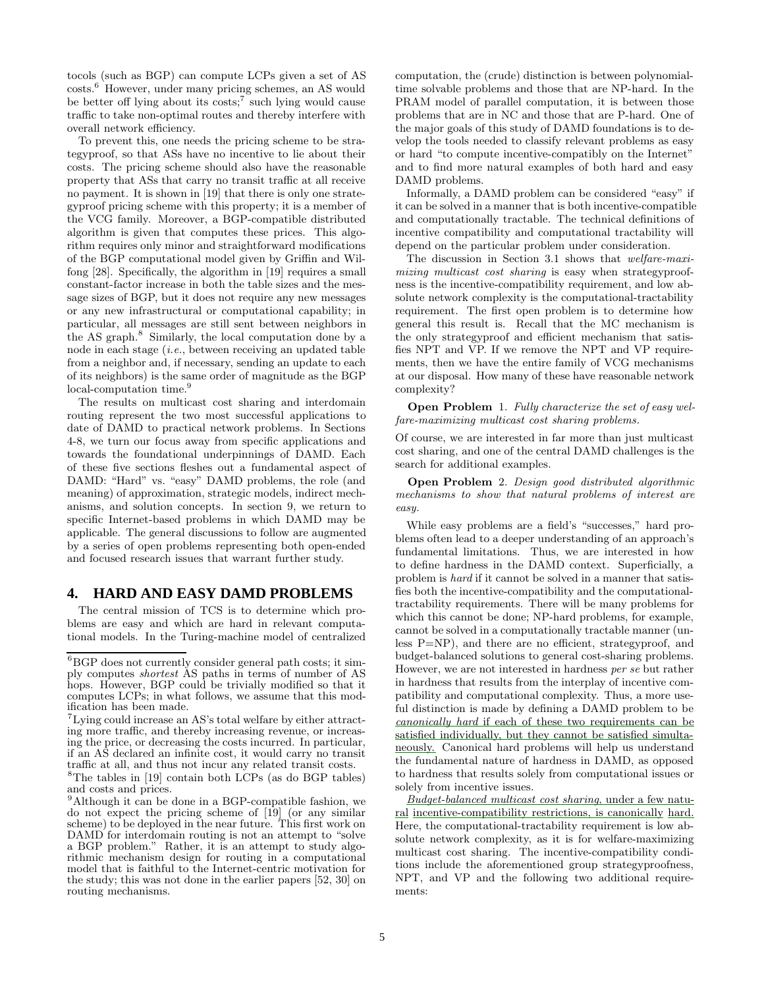tocols (such as BGP) can compute LCPs given a set of AS costs.<sup>6</sup> However, under manypricing schemes, an AS would be better off lying about its  $costs$ ;<sup>7</sup> such lying would cause traffic to take non-optimal routes and thereby interfere with overall network efficiency.

To prevent this, one needs the pricing scheme to be strategyproof, so that ASs have no incentive to lie about their costs. The pricing scheme should also have the reasonable property that ASs that carry no transit traffic at all receive no payment. It is shown in [19] that there is only one strategyproof pricing scheme with this property; it is a member of the VCG family. Moreover, a BGP-compatible distributed algorithm is given that computes these prices. This algorithm requires onlyminor and straightforward modifications of the BGP computational model given byGriffin and Wilfong [28]. Specifically, the algorithm in [19] requires a small constant-factor increase in both the table sizes and the message sizes of BGP, but it does not require any new messages or anynew infrastructural or computational capability; in particular, all messages are still sent between neighbors in the AS graph.<sup>8</sup> Similarly, the local computation done by a node in each stage (i.e., between receiving an updated table from a neighbor and, if necessary, sending an update to each of its neighbors) is the same order of magnitude as the BGP local-computation time.<sup>9</sup>

The results on multicast cost sharing and interdomain routing represent the two most successful applications to date of DAMD to practical network problems. In Sections 4-8, we turn our focus away from specific applications and towards the foundational underpinnings of DAMD. Each of these five sections fleshes out a fundamental aspect of DAMD: "Hard" vs. "easy" DAMD problems, the role (and meaning) of approximation, strategic models, indirect mechanisms, and solution concepts. In section 9, we return to specific Internet-based problems in which DAMD may be applicable. The general discussions to follow are augmented bya series of open problems representing both open-ended and focused research issues that warrant further study.

# **4. HARD AND EASY DAMD PROBLEMS**

The central mission of TCS is to determine which problems are easyand which are hard in relevant computational models. In the Turing-machine model of centralized computation, the (crude) distinction is between polynomialtime solvable problems and those that are NP-hard. In the PRAM model of parallel computation, it is between those problems that are in NC and those that are P-hard. One of the major goals of this study of DAMD foundations is to develop the tools needed to classify relevant problems as easy or hard "to compute incentive-compatibly on the Internet" and to find more natural examples of both hard and easy DAMD problems.

Informally, a DAMD problem can be considered "easy" if it can be solved in a manner that is both incentive-compatible and computationally tractable. The technical definitions of incentive compatibility and computational tractability will depend on the particular problem under consideration.

The discussion in Section 3.1 shows that welfare-maximizing multicast cost sharing is easy when strategyproofness is the incentive-compatibility requirement, and low absolute network complexity is the computational-tractability requirement. The first open problem is to determine how general this result is. Recall that the MC mechanism is the only strategyproof and efficient mechanism that satisfies NPT and VP. If we remove the NPT and VP requirements, then we have the entire family of VCG mechanisms at our disposal. How manyof these have reasonable network complexity?

**Open Problem** 1. Fully characterize the set of easy welfare-maximizing multicast cost sharing problems.

Of course, we are interested in far more than just multicast cost sharing, and one of the central DAMD challenges is the search for additional examples.

**Open Problem** 2. Design good distributed algorithmic mechanisms to show that natural problems of interest are easy.

While easy problems are a field's "successes," hard problems often lead to a deeper understanding of an approach's fundamental limitations. Thus, we are interested in how to define hardness in the DAMD context. Superficially, a problem is hard if it cannot be solved in a manner that satisfies both the incentive-compatibilityand the computationaltractability requirements. There will be many problems for which this cannot be done; NP-hard problems, for example, cannot be solved in a computationally tractable manner (unless P=NP), and there are no efficient, strategyproof, and budget-balanced solutions to general cost-sharing problems. However, we are not interested in hardness per se but rather in hardness that results from the interplay of incentive compatibilityand computational complexity. Thus, a more useful distinction is made by defining a DAMD problem to be canonically hard if each of these two requirements can be satisfied individually, but they cannot be satisfied simultaneously. Canonical hard problems will help us understand the fundamental nature of hardness in DAMD, as opposed to hardness that results solely from computational issues or solely from incentive issues.

Budget-balanced multicast cost sharing, under a few natural incentive-compatibility restrictions, is canonically hard. Here, the computational-tractability requirement is low absolute network complexity, as it is for welfare-maximizing multicast cost sharing. The incentive-compatibility conditions include the aforementioned group strategyproofness, NPT, and VP and the following two additional requirements:

 ${}^{6}$ BGP does not currently consider general path costs; it simply computes shortest AS paths in terms of number of AS hops. However, BGP could be trivially modified so that it computes LCPs; in what follows, we assume that this modification has been made.

<sup>7</sup>Lying could increase an AS's total welfare by either attracting more traffic, and thereby increasing revenue, or increasing the price, or decreasing the costs incurred. In particular, if an AS declared an infinite cost, it would carry no transit traffic at all, and thus not incur anyrelated transit costs.

<sup>8</sup>The tables in [19] contain both LCPs (as do BGP tables) and costs and prices.

<sup>&</sup>lt;sup>9</sup>Although it can be done in a BGP-compatible fashion, we do not expect the pricing scheme of [19] (or anysimilar scheme) to be deployed in the near future. This first work on DAMD for interdomain routing is not an attempt to "solve a BGP problem." Rather, it is an attempt to studyalgorithmic mechanism design for routing in a computational model that is faithful to the Internet-centric motivation for the study; this was not done in the earlier papers [52, 30] on routing mechanisms.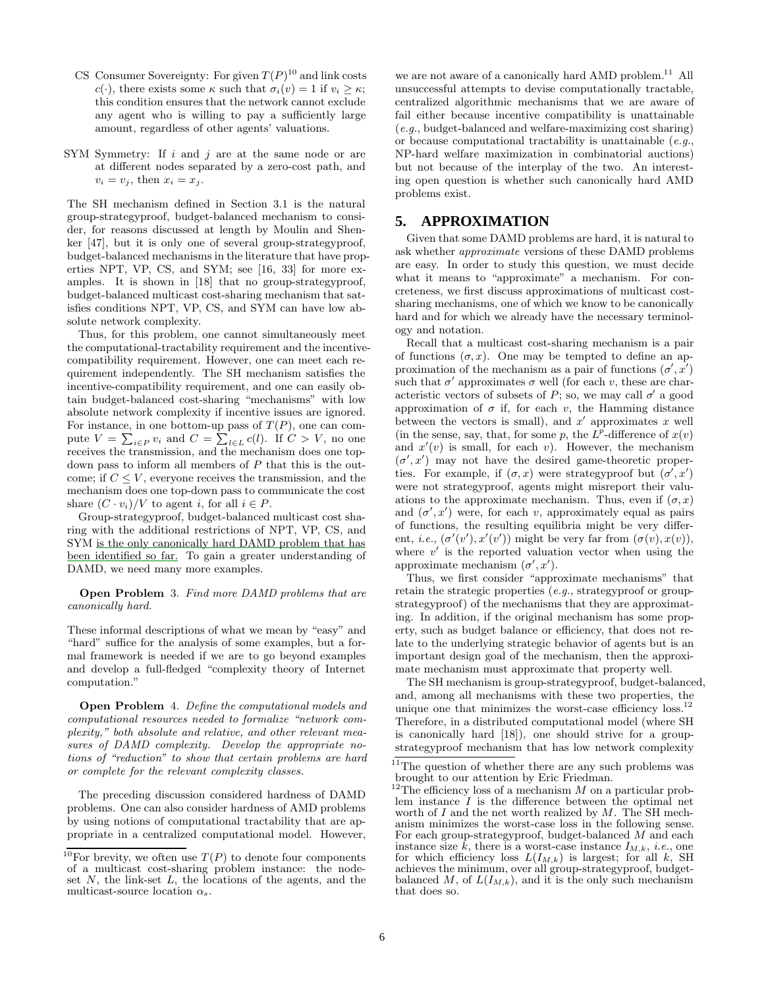- CS Consumer Sovereignty: For given  $T(P)^{10}$  and link costs c(·), there exists some  $\kappa$  such that  $\sigma_i(v) = 1$  if  $v_i > \kappa$ ; this condition ensures that the network cannot exclude any agent who is willing to pay a sufficiently large amount, regardless of other agents' valuations.
- SYM Symmetry: If  $i$  and  $j$  are at the same node or are at different nodes separated bya zero-cost path, and  $v_i = v_j$ , then  $x_i = x_j$ .

The SH mechanism defined in Section 3.1 is the natural group-strategyproof, budget-balanced mechanism to consider, for reasons discussed at length by Moulin and Shen- $\ker$  [47], but it is only one of several group-strategyproof, budget-balanced mechanisms in the literature that have properties NPT, VP, CS, and SYM; see [16, 33] for more examples. It is shown in [18] that no group-strategyproof, budget-balanced multicast cost-sharing mechanism that satisfies conditions NPT, VP, CS, and SYM can have low absolute network complexity.

Thus, for this problem, one cannot simultaneouslymeet the computational-tractability requirement and the incentivecompatibility requirement. However, one can meet each requirement independently. The SH mechanism satisfies the incentive-compatibility requirement, and one can easily obtain budget-balanced cost-sharing "mechanisms" with low absolute network complexity if incentive issues are ignored. For instance, in one bottom-up pass of  $T(P)$ , one can compute  $V = \sum_{i \in P} v_i$  and  $C = \sum_{l \in L} c(l)$ . If  $C > V$ , no one receives the transmission, and the mechanism does one topdown pass to inform all members of  $P$  that this is the outcome; if  $C \leq V$ , everyone receives the transmission, and the mechanism does one top-down pass to communicate the cost share  $(C \cdot v_i)/V$  to agent *i*, for all  $i \in P$ .

Group-strategyproof, budget-balanced multicast cost sharing with the additional restrictions of NPT, VP, CS, and SYM is the only canonically hard DAMD problem that has been identified so far. To gain a greater understanding of DAMD, we need many more examples.

**Open Problem** 3. Find more DAMD problems that are canonically hard.

These informal descriptions of what we mean by "easy" and "hard" suffice for the analysis of some examples, but a formal framework is needed if we are to go beyond examples and develop a full-fledged "complexity theory of Internet computation."

**Open Problem** 4. Define the computational models and computational resources needed to formalize "network complexity," both absolute and relative, and other relevant measures of DAMD complexity. Develop the appropriate notions of "reduction" to show that certain problems are hard or complete for the relevant complexity classes.

The preceding discussion considered hardness of DAMD problems. One can also consider hardness of AMD problems by using notions of computational tractability that are appropriate in a centralized computational model. However,

we are not aware of a canonically hard AMD problem.<sup>11</sup> All unsuccessful attempts to devise computationally tractable, centralized algorithmic mechanisms that we are aware of fail either because incentive compatibility is unattainable (e.g., budget-balanced and welfare-maximizing cost sharing) or because computational tractability is unattainable  $(e.g.,)$ NP-hard welfare maximization in combinatorial auctions) but not because of the interplay of the two. An interesting open question is whether such canonically hard AMD problems exist.

## **5. APPROXIMATION**

Given that some DAMD problems are hard, it is natural to ask whether approximate versions of these DAMD problems are easy. In order to study this question, we must decide what it means to "approximate" a mechanism. For concreteness, we first discuss approximations of multicast costsharing mechanisms, one of which we know to be canonically hard and for which we already have the necessary terminologyand notation.

Recall that a multicast cost-sharing mechanism is a pair of functions  $(\sigma, x)$ . One may be tempted to define an approximation of the mechanism as a pair of functions  $(\sigma', x')$ such that  $\sigma'$  approximates  $\sigma$  well (for each v, these are characteristic vectors of subsets of P; so, we may call  $\sigma'$  a good approximation of  $\sigma$  if, for each v, the Hamming distance between the vectors is small), and  $x'$  approximates x well (in the sense, say, that, for some p, the  $L^p$ -difference of  $x(v)$ ) and  $x'(v)$  is small, for each v). However, the mechanism  $(\sigma', x')$  may not have the desired game-theoretic properties. For example, if  $(\sigma, x)$  were strategyproof but  $(\sigma', x')$ were not strategyproof, agents might misreport their valuations to the approximate mechanism. Thus, even if  $(\sigma, x)$ and  $(\sigma', x')$  were, for each v, approximately equal as pairs of functions, the resulting equilibria might be very different, *i.e.*,  $(\sigma'(v'), x'(v'))$  might be very far from  $(\sigma(v), x(v)),$ where  $v'$  is the reported valuation vector when using the approximate mechanism  $(\sigma', x')$ .

Thus, we first consider "approximate mechanisms" that retain the strategic properties (e.g., strategyproof or groupstrategyproof) of the mechanisms that they are approximating. In addition, if the original mechanism has some property, such as budget balance or efficiency, that does not relate to the underlying strategic behavior of agents but is an important design goal of the mechanism, then the approximate mechanism must approximate that property well.

The SH mechanism is group-strategyproof, budget-balanced, and, among all mechanisms with these two properties, the unique one that minimizes the worst-case efficiency  $\text{loss}^{12}$ . Therefore, in a distributed computational model (where SH is canonically hard  $[18]$ ), one should strive for a groupstrategyproof mechanism that has low network complexity

<sup>&</sup>lt;sup>10</sup>For brevity, we often use  $T(P)$  to denote four components of a multicast cost-sharing problem instance: the nodeset  $N$ , the link-set  $L$ , the locations of the agents, and the multicast-source location α*s*.

 $11$ <sup>The</sup> question of whether there are any such problems was brought to our attention by Eric Friedman.

 $12$ The efficiency loss of a mechanism M on a particular problem instance  $I$  is the difference between the optimal net worth of I and the net worth realized by  $M$ . The SH mechanism minimizes the worst-case loss in the following sense. For each group-strategyproof, budget-balanced M and each instance size  $\hat{k}$ , there is a worst-case instance  $I_{M,k}$ , *i.e.*, one for which efficiency loss  $L(I_{M,k})$  is largest; for all k, SH achieves the minimum, over all group-strategyproof, budgetbalanced  $M$ , of  $L(I_{M,k})$ , and it is the only such mechanism that does so.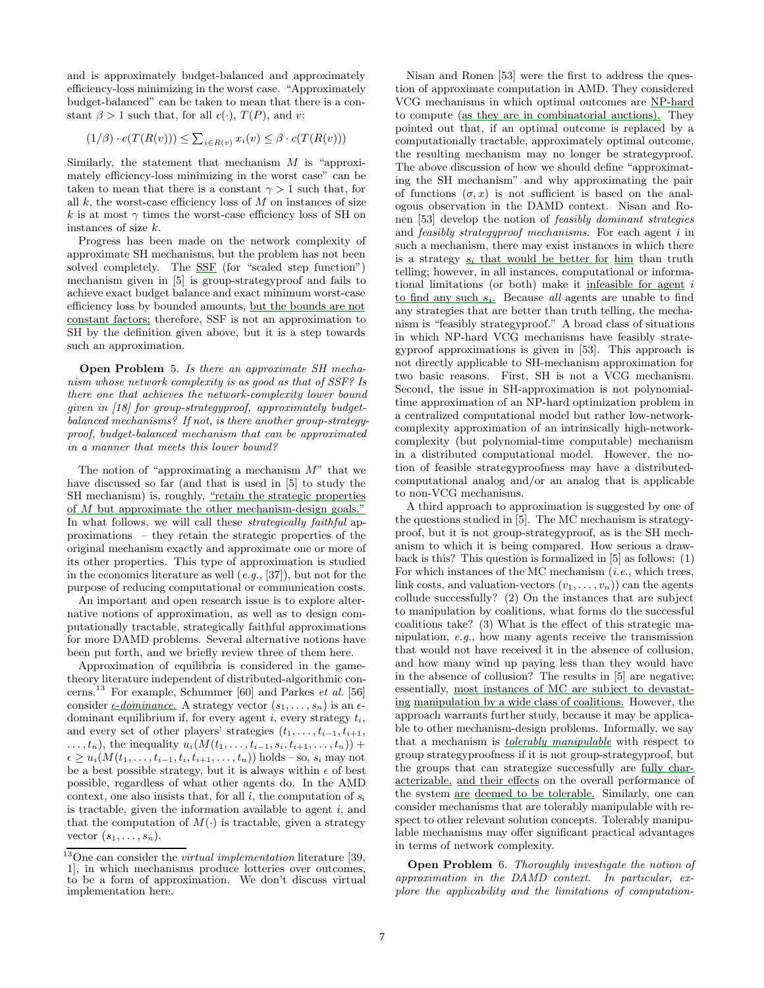and is approximately budget-balanced and approximately efficiency-loss minimizing in the worst case. "Approximately budget-balanced" can be taken to mean that there is a constant  $\beta > 1$  such that, for all  $c(\cdot)$ ,  $T(P)$ , and v:

$$
(1/\beta) \cdot c(T(R(v))) \leq \sum_{i \in R(v)} x_i(v) \leq \beta \cdot c(T(R(v)))
$$

Similarly, the statement that mechanism  $M$  is "approximatelyefficiency-loss minimizing in the worst case" can be taken to mean that there is a constant  $\gamma > 1$  such that, for all  $k$ , the worst-case efficiency loss of  $M$  on instances of size k is at most  $\gamma$  times the worst-case efficiency loss of SH on instances of size k.

Progress has been made on the network complexity of approximate SH mechanisms, but the problem has not been solved completely. The SSF (for "scaled step function") mechanism given in [5] is group-strategyproof and fails to achieve exact budget balance and exact minimum worst-case efficiency loss by bounded amounts, but the bounds are not constant factors; therefore, SSF is not an approximation to SH by the definition given above, but it is a step towards such an approximation.

**Open Problem** 5. Is there an approximate SH mechanism whose network complexity is as good as that of SSF? Is there one that achieves the network-complexity lower bound given in [18] for group-strategyproof, approximately budgetbalanced mechanisms? If not, is there another group-strategyproof, budget-balanced mechanism that can be approximated in a manner that meets this lower bound?

The notion of "approximating a mechanism  $M$ " that we have discussed so far (and that is used in [5] to study the SH mechanism) is, roughly, "retain the strategic properties of M but approximate the other mechanism-design goals." In what follows, we will call these *strategically faithful* approximations – they retain the strategic properties of the original mechanism exactlyand approximate one or more of its other properties. This type of approximation is studied in the economics literature as well  $(e.g., [37])$ , but not for the purpose of reducing computational or communication costs.

An important and open research issue is to explore alternative notions of approximation, as well as to design computationally tractable, strategically faithful approximations for more DAMD problems. Several alternative notions have been put forth, and we briefly review three of them here.

Approximation of equilibria is considered in the gametheoryliterature independent of distributed-algorithmic concerns.<sup>13</sup> For example, Schummer [60] and Parkes et al. [56] consider  $\underline{\epsilon}$ -dominance. A strategy vector  $(s_1,\ldots,s_n)$  is an  $\epsilon$ dominant equilibrium if, for every agent  $i$ , every strategy  $t_i$ , and every set of other players' strategies  $(t_1, \ldots, t_{i-1}, t_{i+1},$ ...,t<sub>*n*</sub>), the inequality  $u_i(M(t_1,...,t_{i-1}, s_i, t_{i+1},...,t_n))$  +  $\epsilon \geq u_i(M(t_1,...,t_{i-1},t_i,t_{i+1},...,t_n))$  holds – so,  $s_i$  may not be a best possible strategy, but it is always within  $\epsilon$  of best possible, regardless of what other agents do. In the AMD context, one also insists that, for all  $i$ , the computation of  $s_i$ is tractable, given the information available to agent  $i$ , and that the computation of  $M(\cdot)$  is tractable, given a strategy vector  $(s_1,\ldots,s_n)$ .

Nisan and Ronen [53] were the first to address the question of approximate computation in AMD. Theyconsidered VCG mechanisms in which optimal outcomes are NP-hard to compute (as they are in combinatorial auctions). They pointed out that, if an optimal outcome is replaced bya computationally tractable, approximately optimal outcome, the resulting mechanism mayno longer be strategyproof. The above discussion of how we should define "approximating the SH mechanism" and whyapproximating the pair of functions  $(\sigma, x)$  is not sufficient is based on the analogous observation in the DAMD context. Nisan and Ronen [53] develop the notion of feasibly dominant strategies and *feasibly strategyproof mechanisms*. For each agent  $i$  in such a mechanism, there may exist instances in which there is a strategy  $s_i$  that would be better for him than truth telling; however, in all instances, computational or informational limitations (or both) make it infeasible for agent  $i$ to find anysuch s*i*. Because all agents are unable to find anystrategies that are better than truth telling, the mechanism is "feasibly strategyproof." A broad class of situations in which NP-hard VCG mechanisms have feasibly strategyproof approximations is given in [53]. This approach is not directlyapplicable to SH-mechanism approximation for two basic reasons. First, SH is not a VCG mechanism. Second, the issue in SH-approximation is not polynomialtime approximation of an NP-hard optimization problem in a centralized computational model but rather low-networkcomplexity approximation of an intrinsically high-networkcomplexity(but polynomial-time computable) mechanism in a distributed computational model. However, the notion of feasible strategyproofness may have a distributedcomputational analog and/or an analog that is applicable to non-VCG mechanisms.

A third approach to approximation is suggested byone of the questions studied in [5]. The MC mechanism is strategyproof, but it is not group-strategyproof, as is the SH mechanism to which it is being compared. How serious a drawback is this? This question is formalized in [5] as follows: (1) For which instances of the MC mechanism  $(i.e.,$  which trees, link costs, and valuation-vectors  $(v_1, \ldots, v_n)$  can the agents collude successfully? (2) On the instances that are subject to manipulation bycoalitions, what forms do the successful coalitions take? (3) What is the effect of this strategic manipulation, e.g., how manyagents receive the transmission that would not have received it in the absence of collusion, and how manywind up paying less than theywould have in the absence of collusion? The results in [5] are negative; essentially, most instances of MC are subject to devastating manipulation bya wide class of coalitions. However, the approach warrants further study, because it may be applicable to other mechanism-design problems. Informally, we say that a mechanism is *tolerably manipulable* with respect to group strategyproofness if it is not group-strategyproof, but the groups that can strategize successfully are fully characterizable, and their effects on the overall performance of the system are deemed to be tolerable. Similarly, one can consider mechanisms that are tolerablymanipulable with respect to other relevant solution concepts. Tolerably manipulable mechanisms mayoffer significant practical advantages in terms of network complexity.

**Open Problem** 6. Thoroughly investigate the notion of approximation in the DAMD context. In particular, explore the applicability and the limitations of computation-

<sup>&</sup>lt;sup>13</sup>One can consider the *virtual implementation* literature [39, 1], in which mechanisms produce lotteries over outcomes, to be a form of approximation. We don't discuss virtual implementation here.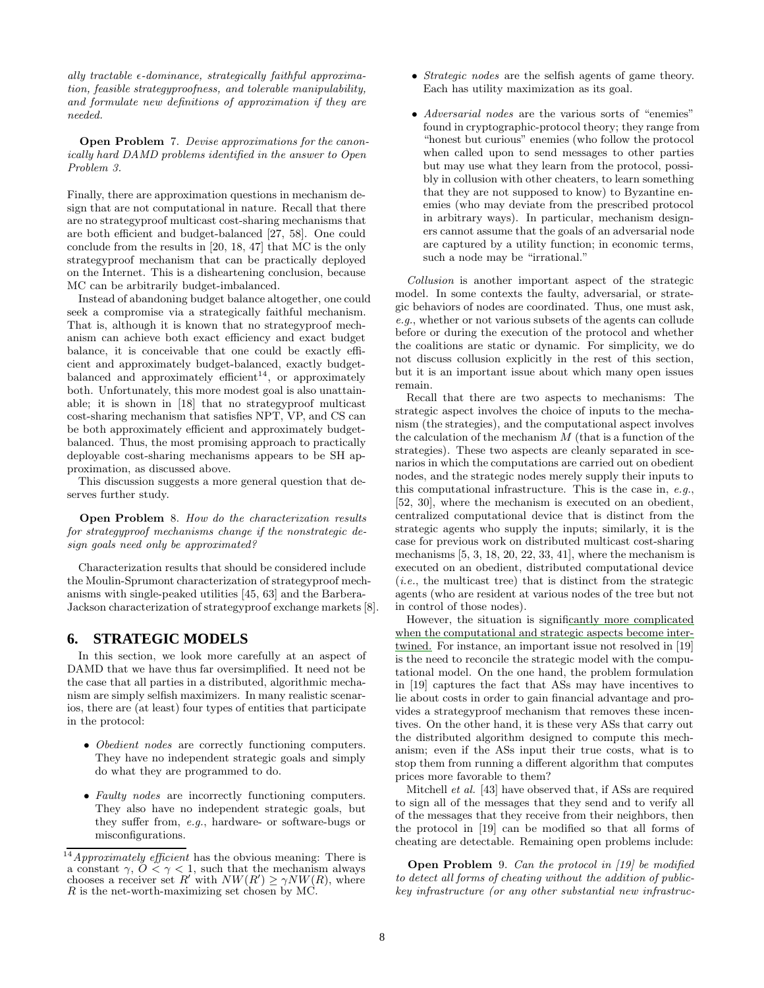ally tractable  $\epsilon$ -dominance, strategically faithful approximation, feasible strategyproofness, and tolerable manipulability, and formulate new definitions of approximation if they are needed.

**Open Problem** 7. Devise approximations for the canonically hard DAMD problems identified in the answer to Open Problem 3.

Finally, there are approximation questions in mechanism design that are not computational in nature. Recall that there are no strategyproof multicast cost-sharing mechanisms that are both efficient and budget-balanced [27, 58]. One could conclude from the results in [20, 18, 47] that MC is the only strategyproof mechanism that can be practically deployed on the Internet. This is a disheartening conclusion, because MC can be arbitrarily budget-imbalanced.

Instead of abandoning budget balance altogether, one could seek a compromise via a strategically faithful mechanism. That is, although it is known that no strategyproof mechanism can achieve both exact efficiencyand exact budget balance, it is conceivable that one could be exactly efficient and approximately budget-balanced, exactly budgetbalanced and approximately efficient<sup>14</sup>, or approximately both. Unfortunately, this more modest goal is also unattainable; it is shown in [18] that no strategyproof multicast cost-sharing mechanism that satisfies NPT, VP, and CS can be both approximately efficient and approximately budgetbalanced. Thus, the most promising approach to practically deployable cost-sharing mechanisms appears to be SH approximation, as discussed above.

This discussion suggests a more general question that deserves further study.

**Open Problem** 8. How do the characterization results for strategyproof mechanisms change if the nonstrategic design goals need only be approximated?

Characterization results that should be considered include the Moulin-Sprumont characterization of strategyproof mechanisms with single-peaked utilities [45, 63] and the Barbera-Jackson characterization of strategyproof exchange markets [8].

#### **6. STRATEGIC MODELS**

In this section, we look more carefully at an aspect of DAMD that we have thus far oversimplified. It need not be the case that all parties in a distributed, algorithmic mechanism are simplyselfish maximizers. In manyrealistic scenarios, there are (at least) four types of entities that participate in the protocol:

- $\bullet$  *Obedient nodes* are correctly functioning computers. They have no independent strategic goals and simply do what they are programmed to do.
- Faulty nodes are incorrectly functioning computers. They also have no independent strategic goals, but they suffer from, e.g., hardware- or software-bugs or misconfigurations.
- *Strategic nodes* are the selfish agents of game theory. Each has utilitymaximization as its goal.
- Adversarial nodes are the various sorts of "enemies" found in cryptographic-protocol theory; they range from "honest but curious" enemies (who follow the protocol when called upon to send messages to other parties but mayuse what theylearn from the protocol, possibly in collusion with other cheaters, to learn something that they are not supposed to know) to Byzantine enemies (who maydeviate from the prescribed protocol in arbitrary ways). In particular, mechanism designers cannot assume that the goals of an adversarial node are captured by a utility function; in economic terms, such a node may be "irrational."

Collusion is another important aspect of the strategic model. In some contexts the faulty, adversarial, or strategic behaviors of nodes are coordinated. Thus, one must ask, e.g., whether or not various subsets of the agents can collude before or during the execution of the protocol and whether the coalitions are static or dynamic. For simplicity, we do not discuss collusion explicitly in the rest of this section, but it is an important issue about which manyopen issues remain.

Recall that there are two aspects to mechanisms: The strategic aspect involves the choice of inputs to the mechanism (the strategies), and the computational aspect involves the calculation of the mechanism M (that is a function of the strategies). These two aspects are cleanly separated in scenarios in which the computations are carried out on obedient nodes, and the strategic nodes merely supply their inputs to this computational infrastructure. This is the case in, e.g., [52, 30], where the mechanism is executed on an obedient, centralized computational device that is distinct from the strategic agents who supply the inputs; similarly, it is the case for previous work on distributed multicast cost-sharing mechanisms  $[5, 3, 18, 20, 22, 33, 41]$ , where the mechanism is executed on an obedient, distributed computational device (i.e., the multicast tree) that is distinct from the strategic agents (who are resident at various nodes of the tree but not in control of those nodes).

However, the situation is significantlymore complicated when the computational and strategic aspects become intertwined. For instance, an important issue not resolved in [19] is the need to reconcile the strategic model with the computational model. On the one hand, the problem formulation in [19] captures the fact that ASs mayhave incentives to lie about costs in order to gain financial advantage and provides a strategyproof mechanism that removes these incentives. On the other hand, it is these veryASs that carryout the distributed algorithm designed to compute this mechanism; even if the ASs input their true costs, what is to stop them from running a different algorithm that computes prices more favorable to them?

Mitchell et al. [43] have observed that, if ASs are required to sign all of the messages that they send and to verify all of the messages that theyreceive from their neighbors, then the protocol in [19] can be modified so that all forms of cheating are detectable. Remaining open problems include:

**Open Problem** 9. Can the protocol in [19] be modified to detect all forms of cheating without the addition of publickey infrastructure (or any other substantial new infrastruc-

 $14$ *Approximately efficient* has the obvious meaning: There is a constant  $\gamma$ ,  $0 < \gamma < 1$ , such that the mechanism always chooses a receiver set R' with  $NW(R') \ge \gamma NW(R)$ , where  $R$  is the net-worth-maximizing set chosen by MC.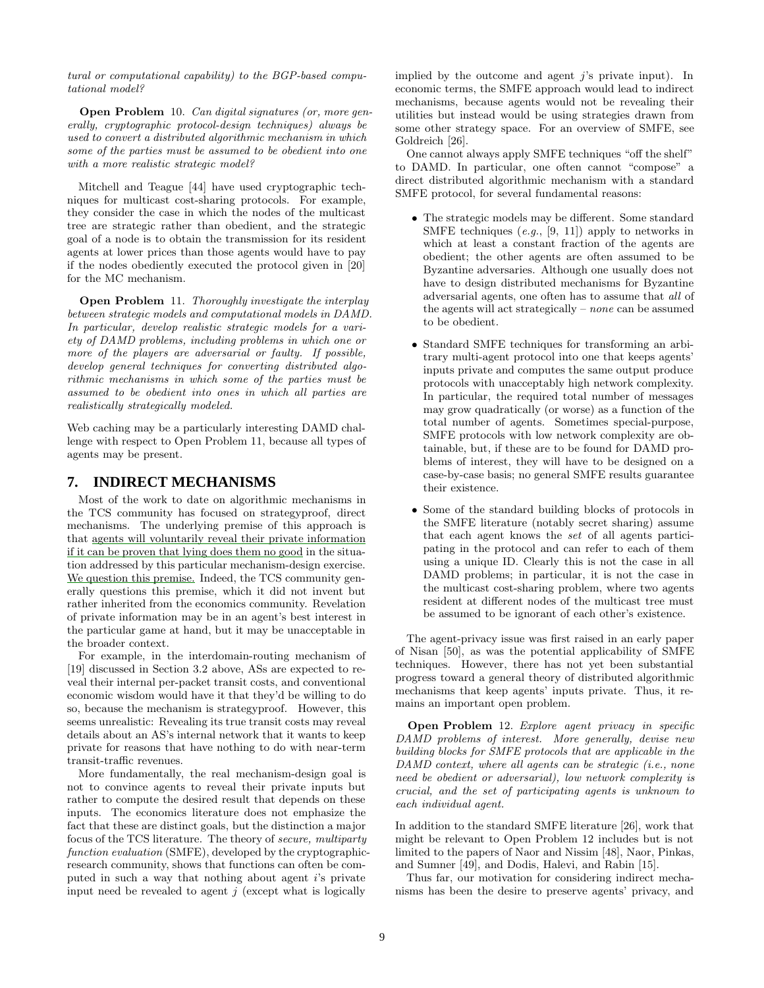tural or computational capability) to the BGP-based computational model?

**Open Problem** 10. Can digital signatures (or, more generally, cryptographic protocol-design techniques) always be used to convert a distributed algorithmic mechanism in which some of the parties must be assumed to be obedient into one with a more realistic strategic model?

Mitchell and Teague [44] have used cryptographic techniques for multicast cost-sharing protocols. For example, they consider the case in which the nodes of the multicast tree are strategic rather than obedient, and the strategic goal of a node is to obtain the transmission for its resident agents at lower prices than those agents would have to pay if the nodes obediently executed the protocol given in [20] for the MC mechanism.

**Open Problem** 11. Thoroughly investigate the interplay between strategic models and computational models in DAMD. In particular, develop realistic strategic models for a variety of DAMD problems, including problems in which one or more of the players are adversarial or faulty. If possible, develop general techniques for converting distributed algorithmic mechanisms in which some of the parties must be assumed to be obedient into ones in which all parties are realistically strategically modeled.

Web caching may be a particularly interesting DAMD challenge with respect to Open Problem 11, because all types of agents may be present.

## **7. INDIRECT MECHANISMS**

Most of the work to date on algorithmic mechanisms in the TCS community has focused on strategyproof, direct mechanisms. The underlying premise of this approach is that agents will voluntarily reveal their private information if it can be proven that lying does them no good in the situation addressed bythis particular mechanism-design exercise. We question this premise. Indeed, the TCS community generally questions this premise, which it did not invent but rather inherited from the economics community. Revelation of private information maybe in an agent's best interest in the particular game at hand, but it maybe unacceptable in the broader context.

For example, in the interdomain-routing mechanism of [19] discussed in Section 3.2 above, ASs are expected to reveal their internal per-packet transit costs, and conventional economic wisdom would have it that they'd be willing to do so, because the mechanism is strategyproof. However, this seems unrealistic: Revealing its true transit costs may reveal details about an AS's internal network that it wants to keep private for reasons that have nothing to do with near-term transit-traffic revenues.

More fundamentally, the real mechanism-design goal is not to convince agents to reveal their private inputs but rather to compute the desired result that depends on these inputs. The economics literature does not emphasize the fact that these are distinct goals, but the distinction a major focus of the TCS literature. The theory of secure, multiparty function evaluation (SMFE), developed by the cryptographicresearch community, shows that functions can often be computed in such a way that nothing about agent i's private input need be revealed to agent  $j$  (except what is logically

implied by the outcome and agent  $j$ 's private input). In economic terms, the SMFE approach would lead to indirect mechanisms, because agents would not be revealing their utilities but instead would be using strategies drawn from some other strategy space. For an overview of SMFE, see Goldreich [26].

One cannot always apply SMFE techniques "off the shelf" to DAMD. In particular, one often cannot "compose" a direct distributed algorithmic mechanism with a standard SMFE protocol, for several fundamental reasons:

- The strategic models may be different. Some standard SMFE techniques  $(e.g., [9, 11])$  apply to networks in which at least a constant fraction of the agents are obedient; the other agents are often assumed to be Byzantine adversaries. Although one usually does not have to design distributed mechanisms for Byzantine adversarial agents, one often has to assume that all of the agents will act strategically – none can be assumed to be obedient.
- Standard SMFE techniques for transforming an arbitrarymulti-agent protocol into one that keeps agents' inputs private and computes the same output produce protocols with unacceptably high network complexity. In particular, the required total number of messages maygrow quadratically(or worse) as a function of the total number of agents. Sometimes special-purpose, SMFE protocols with low network complexity are obtainable, but, if these are to be found for DAMD problems of interest, theywill have to be designed on a case-by-case basis; no general SMFE results guarantee their existence.
- Some of the standard building blocks of protocols in the SMFE literature (notably secret sharing) assume that each agent knows the set of all agents participating in the protocol and can refer to each of them using a unique ID. Clearly this is not the case in all DAMD problems; in particular, it is not the case in the multicast cost-sharing problem, where two agents resident at different nodes of the multicast tree must be assumed to be ignorant of each other's existence.

The agent-privacy issue was first raised in an early paper of Nisan [50], as was the potential applicabilityof SMFE techniques. However, there has not yet been substantial progress toward a general theoryof distributed algorithmic mechanisms that keep agents' inputs private. Thus, it remains an important open problem.

**Open Problem** 12. Explore agent privacy in specific DAMD problems of interest. More generally, devise new building blocks for SMFE protocols that are applicable in the DAMD context, where all agents can be strategic (i.e., none need be obedient or adversarial), low network complexity is crucial, and the set of participating agents is unknown to each individual agent.

In addition to the standard SMFE literature [26], work that might be relevant to Open Problem 12 includes but is not limited to the papers of Naor and Nissim [48], Naor, Pinkas, and Sumner [49], and Dodis, Halevi, and Rabin [15].

Thus far, our motivation for considering indirect mechanisms has been the desire to preserve agents' privacy, and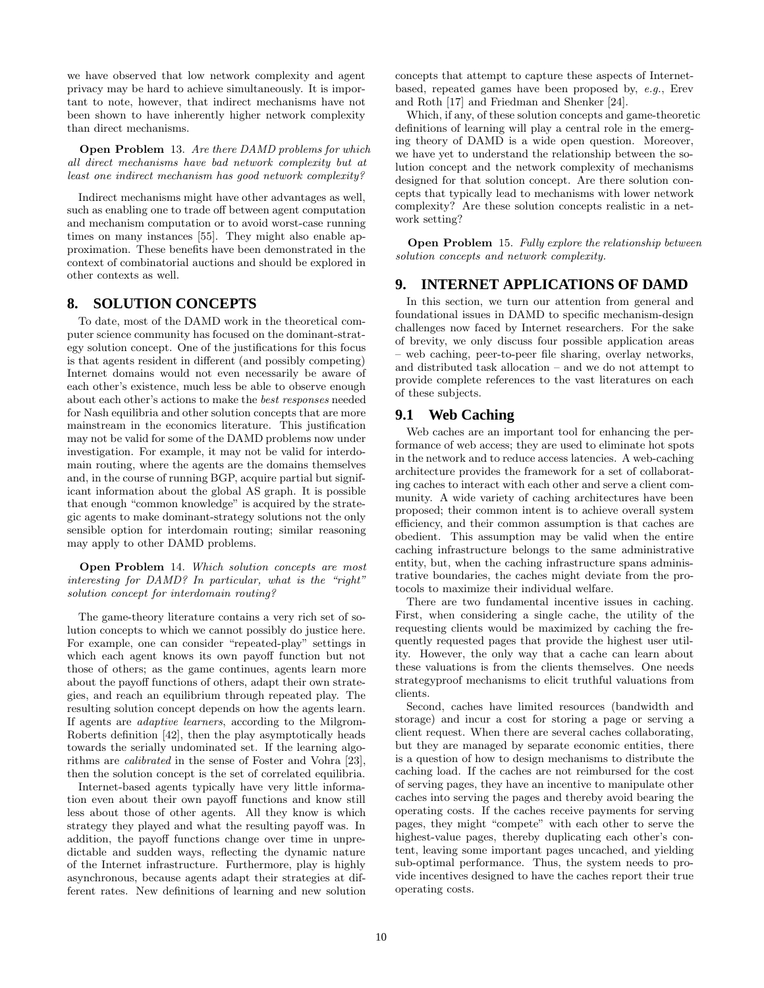we have observed that low network complexity and agent privacymaybe hard to achieve simultaneously. It is important to note, however, that indirect mechanisms have not been shown to have inherently higher network complexity than direct mechanisms.

**Open Problem** 13. Are there DAMD problems for which all direct mechanisms have bad network complexity but at least one indirect mechanism has good network complexity?

Indirect mechanisms might have other advantages as well, such as enabling one to trade off between agent computation and mechanism computation or to avoid worst-case running times on many instances [55]. They might also enable approximation. These benefits have been demonstrated in the context of combinatorial auctions and should be explored in other contexts as well.

# **8. SOLUTION CONCEPTS**

To date, most of the DAMD work in the theoretical computer science communityhas focused on the dominant-strategysolution concept. One of the justifications for this focus is that agents resident in different (and possiblycompeting) Internet domains would not even necessarily be aware of each other's existence, much less be able to observe enough about each other's actions to make the best responses needed for Nash equilibria and other solution concepts that are more mainstream in the economics literature. This justification maynot be valid for some of the DAMD problems now under investigation. For example, it maynot be valid for interdomain routing, where the agents are the domains themselves and, in the course of running BGP, acquire partial but significant information about the global AS graph. It is possible that enough "common knowledge" is acquired by the strategic agents to make dominant-strategysolutions not the only sensible option for interdomain routing; similar reasoning may apply to other DAMD problems.

**Open Problem** 14. Which solution concepts are most interesting for DAMD? In particular, what is the "right" solution concept for interdomain routing?

The game-theory literature contains a very rich set of solution concepts to which we cannot possibly do justice here. For example, one can consider "repeated-play" settings in which each agent knows its own payoff function but not those of others; as the game continues, agents learn more about the payoff functions of others, adapt their own strategies, and reach an equilibrium through repeated play. The resulting solution concept depends on how the agents learn. If agents are adaptive learners, according to the Milgrom-Roberts definition  $[42]$ , then the play asymptotically heads towards the serially undominated set. If the learning algorithms are calibrated in the sense of Foster and Vohra [23], then the solution concept is the set of correlated equilibria.

Internet-based agents typically have very little information even about their own payoff functions and know still less about those of other agents. All they know is which strategy they played and what the resulting payoff was. In addition, the payoff functions change over time in unpredictable and sudden ways, reflecting the dynamic nature of the Internet infrastructure. Furthermore, playis highly asynchronous, because agents adapt their strategies at different rates. New definitions of learning and new solution concepts that attempt to capture these aspects of Internetbased, repeated games have been proposed by, e.g., Erev and Roth [17] and Friedman and Shenker [24].

Which, if any, of these solution concepts and game-theoretic definitions of learning will play a central role in the emerging theory of DAMD is a wide open question. Moreover, we have yet to understand the relationship between the solution concept and the network complexityof mechanisms designed for that solution concept. Are there solution concepts that typically lead to mechanisms with lower network complexity? Are these solution concepts realistic in a network setting?

**Open Problem** 15. Fully explore the relationship between solution concepts and network complexity.

### **9. INTERNET APPLICATIONS OF DAMD**

In this section, we turn our attention from general and foundational issues in DAMD to specific mechanism-design challenges now faced byInternet researchers. For the sake of brevity, we only discuss four possible application areas – web caching, peer-to-peer file sharing, overlay networks, and distributed task allocation – and we do not attempt to provide complete references to the vast literatures on each of these subjects.

#### **9.1 Web Caching**

Web caches are an important tool for enhancing the performance of web access; they are used to eliminate hot spots in the network and to reduce access latencies. A web-caching architecture provides the framework for a set of collaborating caches to interact with each other and serve a client community. A wide variety of caching architectures have been proposed; their common intent is to achieve overall system efficiency, and their common assumption is that caches are obedient. This assumption maybe valid when the entire caching infrastructure belongs to the same administrative entity, but, when the caching infrastructure spans administrative boundaries, the caches might deviate from the protocols to maximize their individual welfare.

There are two fundamental incentive issues in caching. First, when considering a single cache, the utility of the requesting clients would be maximized bycaching the frequently requested pages that provide the highest user utility. However, the only way that a cache can learn about these valuations is from the clients themselves. One needs strategyproof mechanisms to elicit truthful valuations from clients.

Second, caches have limited resources (bandwidth and storage) and incur a cost for storing a page or serving a client request. When there are several caches collaborating, but they are managed by separate economic entities, there is a question of how to design mechanisms to distribute the caching load. If the caches are not reimbursed for the cost of serving pages, they have an incentive to manipulate other caches into serving the pages and thereby avoid bearing the operating costs. If the caches receive payments for serving pages, theymight "compete" with each other to serve the highest-value pages, thereby duplicating each other's content, leaving some important pages uncached, and yielding sub-optimal performance. Thus, the system needs to provide incentives designed to have the caches report their true operating costs.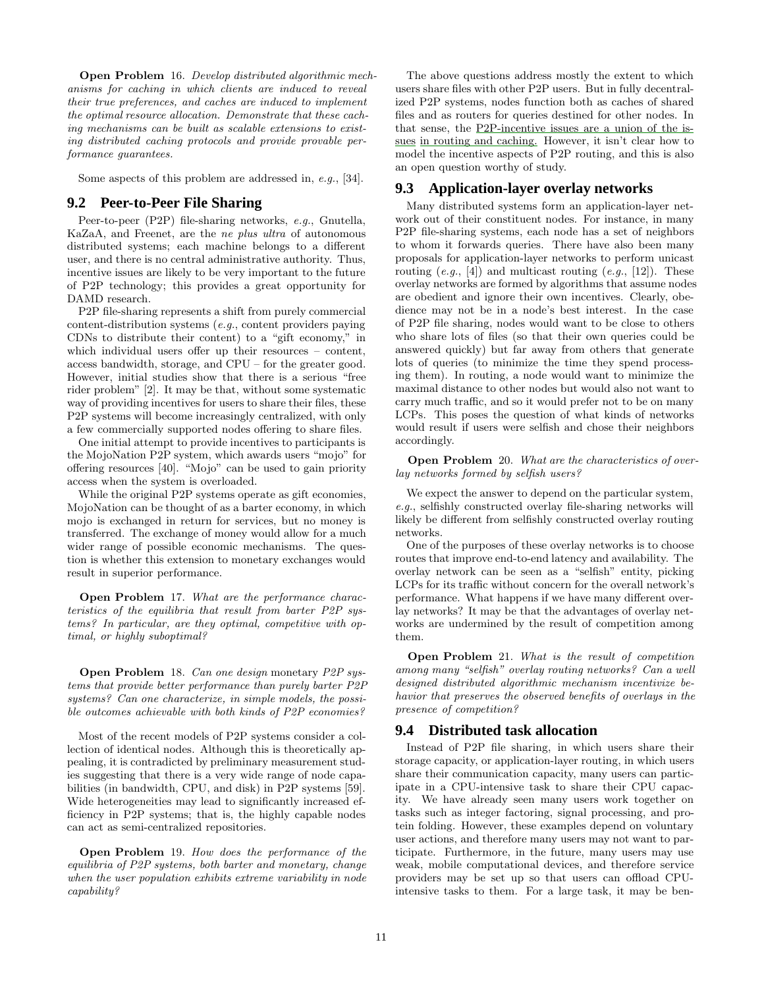**Open Problem** 16. Develop distributed algorithmic mechanisms for caching in which clients are induced to reveal their true preferences, and caches are induced to implement the optimal resource allocation. Demonstrate that these caching mechanisms can be built as scalable extensions to existing distributed caching protocols and provide provable performance guarantees.

Some aspects of this problem are addressed in, e.g., [34].

#### **9.2 Peer-to-Peer File Sharing**

Peer-to-peer (P2P) file-sharing networks, e.g., Gnutella, KaZaA, and Freenet, are the ne plus ultra of autonomous distributed systems; each machine belongs to a different user, and there is no central administrative authority. Thus, incentive issues are likely to be very important to the future of P2P technology; this provides a great opportunity for DAMD research.

P<sub>2</sub>P file-sharing represents a shift from purely commercial content-distribution systems (e.g., content providers paying CDNs to distribute their content) to a "gift economy," in which individual users offer up their resources – content, access bandwidth, storage, and CPU – for the greater good. However, initial studies show that there is a serious "free rider problem" [2]. It may be that, without some systematic wayof providing incentives for users to share their files, these P2P systems will become increasingly centralized, with only a few commercially supported nodes offering to share files.

One initial attempt to provide incentives to participants is the MojoNation P2P system, which awards users "mojo" for offering resources [40]. "Mojo" can be used to gain priority access when the system is overloaded.

While the original P2P systems operate as gift economies, MojoNation can be thought of as a barter economy, in which mojo is exchanged in return for services, but no moneyis transferred. The exchange of moneywould allow for a much wider range of possible economic mechanisms. The question is whether this extension to monetaryexchanges would result in superior performance.

**Open Problem** 17. What are the performance characteristics of the equilibria that result from barter P2P systems? In particular, are they optimal, competitive with optimal, or highly suboptimal?

**Open Problem** 18. Can one design monetary P2P systems that provide better performance than purely barter P2P systems? Can one characterize, in simple models, the possible outcomes achievable with both kinds of P2P economies?

Most of the recent models of P2P systems consider a collection of identical nodes. Although this is theoretically appealing, it is contradicted by preliminary measurement studies suggesting that there is a verywide range of node capabilities (in bandwidth, CPU, and disk) in P2P systems [59]. Wide heterogeneities may lead to significantly increased efficiency in P2P systems; that is, the highly capable nodes can act as semi-centralized repositories.

**Open Problem** 19. How does the performance of the equilibria of P2P systems, both barter and monetary, change when the user population exhibits extreme variability in node capability?

The above questions address mostly the extent to which users share files with other P2P users. But in fully decentralized P2P systems, nodes function both as caches of shared files and as routers for queries destined for other nodes. In that sense, the P2P-incentive issues are a union of the issues in routing and caching. However, it isn't clear how to model the incentive aspects of P2P routing, and this is also an open question worthy of study.

#### **9.3 Application-layer overlay networks**

Manydistributed systems form an application-layer network out of their constituent nodes. For instance, in many P2P file-sharing systems, each node has a set of neighbors to whom it forwards queries. There have also been many proposals for application-layer networks to perform unicast routing  $(e.g., [4])$  and multicast routing  $(e.g., [12])$ . These overlaynetworks are formed byalgorithms that assume nodes are obedient and ignore their own incentives. Clearly, obedience maynot be in a node's best interest. In the case of P2P file sharing, nodes would want to be close to others who share lots of files (so that their own queries could be answered quickly) but far away from others that generate lots of queries (to minimize the time they spend processing them). In routing, a node would want to minimize the maximal distance to other nodes but would also not want to carrymuch traffic, and so it would prefer not to be on many LCPs. This poses the question of what kinds of networks would result if users were selfish and chose their neighbors accordingly.

**Open Problem** 20. What are the characteristics of overlay networks formed by selfish users?

We expect the answer to depend on the particular system,  $e.g.,$  selfishly constructed overlay file-sharing networks will likely be different from selfishly constructed overlay routing networks.

One of the purposes of these overlay networks is to choose routes that improve end-to-end latencyand availability. The overlaynetwork can be seen as a "selfish" entity, picking LCPs for its traffic without concern for the overall network's performance. What happens if we have manydifferent overlay networks? It may be that the advantages of overlay networks are undermined by the result of competition among them.

**Open Problem** 21. What is the result of competition among many "selfish" overlay routing networks? Can a well designed distributed algorithmic mechanism incentivize behavior that preserves the observed benefits of overlays in the presence of competition?

#### **9.4 Distributed task allocation**

Instead of P2P file sharing, in which users share their storage capacity, or application-layer routing, in which users share their communication capacity, many users can participate in a CPU-intensive task to share their CPU capacity. We have already seen many users work together on tasks such as integer factoring, signal processing, and protein folding. However, these examples depend on voluntary user actions, and therefore manyusers maynot want to participate. Furthermore, in the future, manyusers mayuse weak, mobile computational devices, and therefore service providers maybe set up so that users can offload CPUintensive tasks to them. For a large task, it maybe ben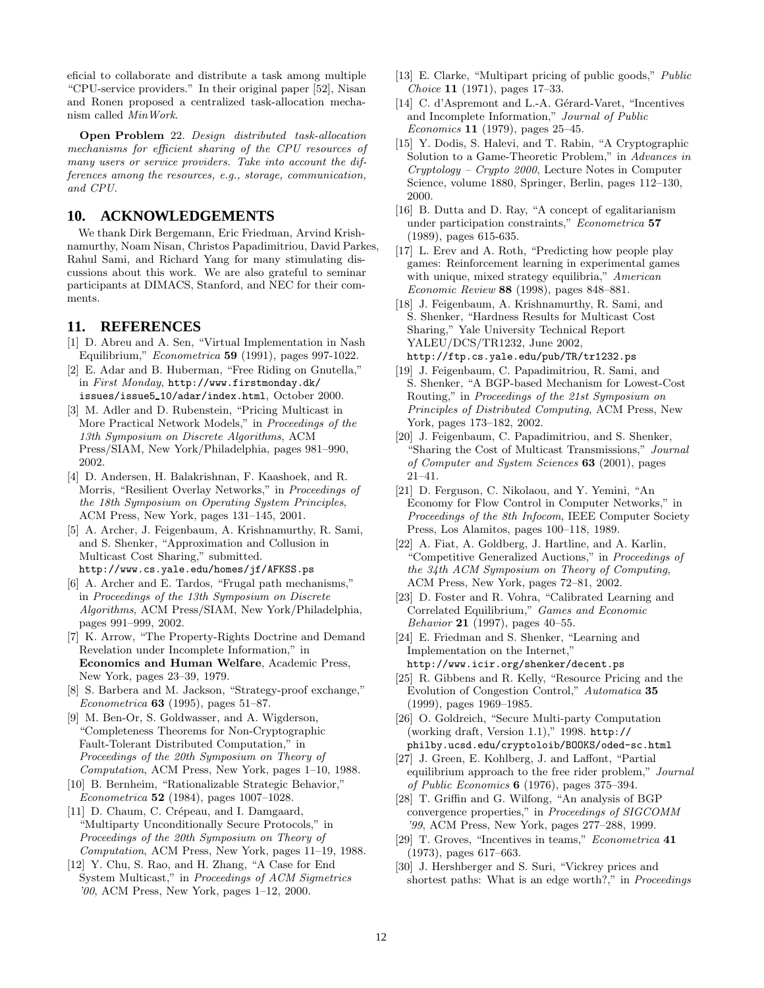eficial to collaborate and distribute a task among multiple "CPU-service providers." In their original paper [52], Nisan and Ronen proposed a centralized task-allocation mechanism called MinWork.

**Open Problem** 22. Design distributed task-allocation mechanisms for efficient sharing of the CPU resources of many users or service providers. Take into account the differences among the resources, e.g., storage, communication, and CPU.

# **10. ACKNOWLEDGEMENTS**

We thank Dirk Bergemann, Eric Friedman, Arvind Krishnamurthy, Noam Nisan, Christos Papadimitriou, David Parkes, Rahul Sami, and Richard Yang for manystimulating discussions about this work. We are also grateful to seminar participants at DIMACS, Stanford, and NEC for their comments.

#### **11. REFERENCES**

- [1] D. Abreu and A. Sen, "Virtual Implementation in Nash Equilibrium," Econometrica **59** (1991), pages 997-1022.
- [2] E. Adar and B. Huberman, "Free Riding on Gnutella," in First Monday, http://www.firstmonday.dk/ issues/issue5 10/adar/index.html, October 2000.
- [3] M. Adler and D. Rubenstein, "Pricing Multicast in More Practical Network Models," in Proceedings of the 13th Symposium on Discrete Algorithms, ACM Press/SIAM, New York/Philadelphia, pages 981–990, 2002.
- [4] D. Andersen, H. Balakrishnan, F. Kaashoek, and R. Morris, "Resilient Overlay Networks," in Proceedings of the 18th Symposium on Operating System Principles, ACM Press, New York, pages 131–145, 2001.
- [5] A. Archer, J. Feigenbaum, A. Krishnamurthy, R. Sami, and S. Shenker, "Approximation and Collusion in Multicast Cost Sharing," submitted. http://www.cs.yale.edu/homes/jf/AFKSS.ps
- [6] A. Archer and E. Tardos, "Frugal path mechanisms," in Proceedings of the 13th Symposium on Discrete Algorithms, ACM Press/SIAM, New York/Philadelphia, pages 991–999, 2002.
- [7] K. Arrow, "The Property-Rights Doctrine and Demand Revelation under Incomplete Information," in **Economics and Human Welfare**, Academic Press, New York, pages 23–39, 1979.
- [8] S. Barbera and M. Jackson, "Strategy-proof exchange," Econometrica **63** (1995), pages 51–87.
- [9] M. Ben-Or, S. Goldwasser, and A. Wigderson, "Completeness Theorems for Non-Cryptographic Fault-Tolerant Distributed Computation," in Proceedings of the 20th Symposium on Theory of Computation, ACM Press, New York, pages 1–10, 1988.
- [10] B. Bernheim, "Rationalizable Strategic Behavior," Econometrica **52** (1984), pages 1007–1028.
- [11] D. Chaum, C. Crépeau, and I. Damgaard, "Multiparty Unconditionally Secure Protocols," in Proceedings of the 20th Symposium on Theory of Computation, ACM Press, New York, pages 11–19, 1988.
- [12] Y. Chu, S. Rao, and H. Zhang, "A Case for End System Multicast," in Proceedings of ACM Sigmetrics '00, ACM Press, New York, pages 1–12, 2000.
- [13] E. Clarke, "Multipart pricing of public goods," Public Choice **11** (1971), pages 17–33.
- [14] C. d'Aspremont and L.-A. Gérard-Varet, "Incentives" and Incomplete Information," Journal of Public Economics **11** (1979), pages 25–45.
- [15] Y. Dodis, S. Halevi, and T. Rabin, "A Cryptographic Solution to a Game-Theoretic Problem," in Advances in Cryptology – Crypto 2000, Lecture Notes in Computer Science, volume 1880, Springer, Berlin, pages 112–130, 2000.
- [16] B. Dutta and D. Ray, "A concept of egalitarianism under participation constraints," Econometrica **57** (1989), pages 615-635.
- [17] L. Erev and A. Roth, "Predicting how people play games: Reinforcement learning in experimental games with unique, mixed strategy equilibria," American Economic Review **88** (1998), pages 848–881.
- [18] J. Feigenbaum, A. Krishnamurthy, R. Sami, and S. Shenker, "Hardness Results for Multicast Cost Sharing," Yale University Technical Report YALEU/DCS/TR1232, June 2002, http://ftp.cs.yale.edu/pub/TR/tr1232.ps
- [19] J. Feigenbaum, C. Papadimitriou, R. Sami, and S. Shenker, "A BGP-based Mechanism for Lowest-Cost Routing," in Proceedings of the 21st Symposium on Principles of Distributed Computing, ACM Press, New York, pages 173–182, 2002.
- [20] J. Feigenbaum, C. Papadimitriou, and S. Shenker, "Sharing the Cost of Multicast Transmissions," Journal of Computer and System Sciences **63** (2001), pages 21–41.
- [21] D. Ferguson, C. Nikolaou, and Y. Yemini, "An Economy for Flow Control in Computer Networks," in Proceedings of the 8th Infocom, IEEE Computer Society Press, Los Alamitos, pages 100–118, 1989.
- [22] A. Fiat, A. Goldberg, J. Hartline, and A. Karlin, "Competitive Generalized Auctions," in Proceedings of the 34th ACM Symposium on Theory of Computing, ACM Press, New York, pages 72–81, 2002.
- [23] D. Foster and R. Vohra, "Calibrated Learning and Correlated Equilibrium," Games and Economic Behavior **21** (1997), pages 40–55.
- [24] E. Friedman and S. Shenker, "Learning and Implementation on the Internet," http://www.icir.org/shenker/decent.ps
- [25] R. Gibbens and R. Kelly, "Resource Pricing and the Evolution of Congestion Control," Automatica **35** (1999), pages 1969–1985.
- [26] O. Goldreich, "Secure Multi-party Computation" (working draft, Version 1.1)," 1998. http:// philby.ucsd.edu/cryptoloib/BOOKS/oded-sc.html
- [27] J. Green, E. Kohlberg, J. and Laffont, "Partial equilibrium approach to the free rider problem," Journal of Public Economics **6** (1976), pages 375–394.
- [28] T. Griffin and G. Wilfong, "An analysis of BGP convergence properties," in Proceedings of SIGCOMM '99, ACM Press, New York, pages 277–288, 1999.
- [29] T. Groves, "Incentives in teams," Econometrica **41** (1973), pages 617–663.
- [30] J. Hershberger and S. Suri, "Vickrey prices and shortest paths: What is an edge worth?," in Proceedings